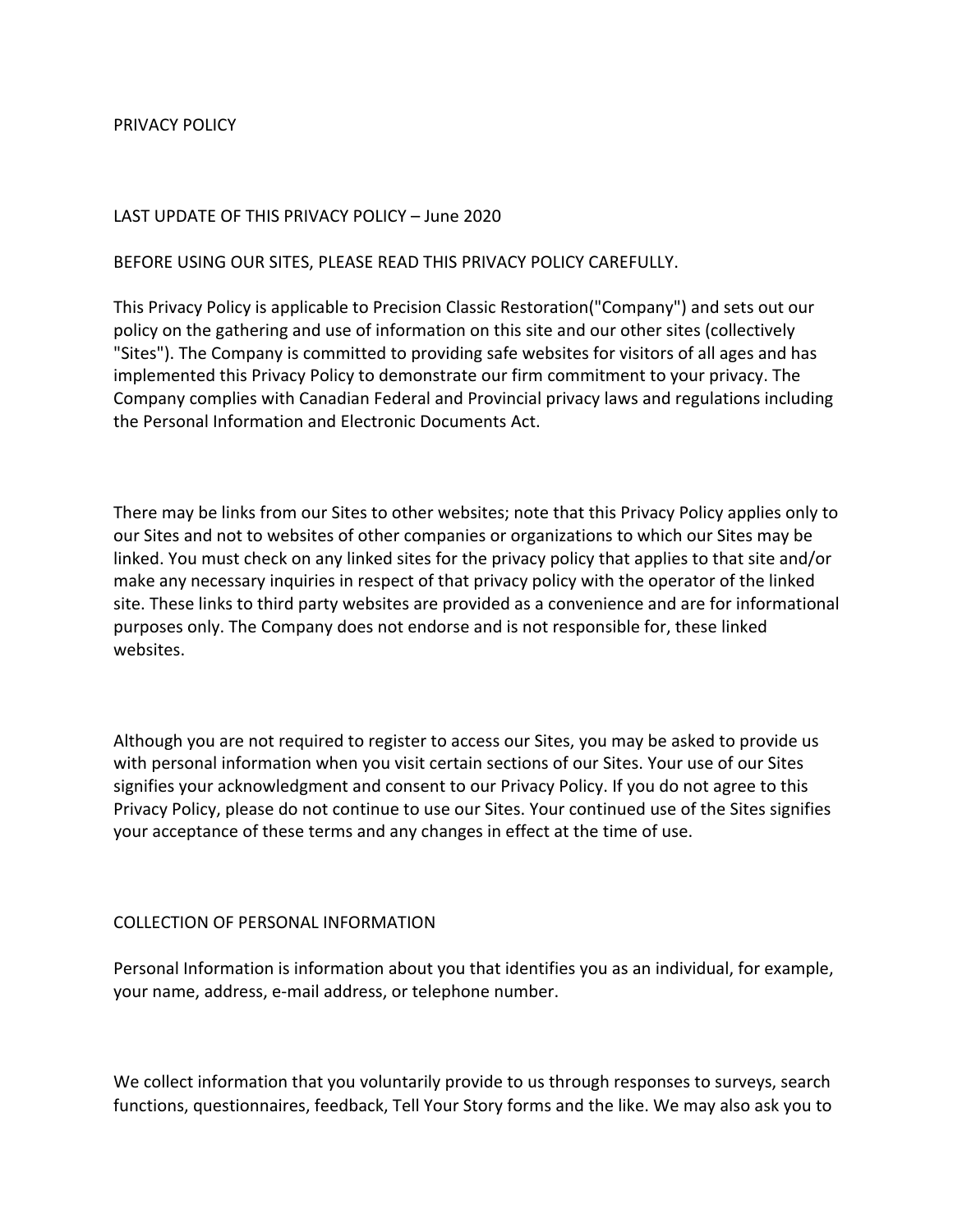### PRIVACY POLICY

### LAST UPDATE OF THIS PRIVACY POLICY – June 2020

#### BEFORE USING OUR SITES, PLEASE READ THIS PRIVACY POLICY CAREFULLY.

This Privacy Policy is applicable to Precision Classic Restoration("Company") and sets out our policy on the gathering and use of information on this site and our other sites (collectively "Sites"). The Company is committed to providing safe websites for visitors of all ages and has implemented this Privacy Policy to demonstrate our firm commitment to your privacy. The Company complies with Canadian Federal and Provincial privacy laws and regulations including the Personal Information and Electronic Documents Act.

There may be links from our Sites to other websites; note that this Privacy Policy applies only to our Sites and not to websites of other companies or organizations to which our Sites may be linked. You must check on any linked sites for the privacy policy that applies to that site and/or make any necessary inquiries in respect of that privacy policy with the operator of the linked site. These links to third party websites are provided as a convenience and are for informational purposes only. The Company does not endorse and is not responsible for, these linked websites.

Although you are not required to register to access our Sites, you may be asked to provide us with personal information when you visit certain sections of our Sites. Your use of our Sites signifies your acknowledgment and consent to our Privacy Policy. If you do not agree to this Privacy Policy, please do not continue to use our Sites. Your continued use of the Sites signifies your acceptance of these terms and any changes in effect at the time of use.

#### COLLECTION OF PERSONAL INFORMATION

Personal Information is information about you that identifies you as an individual, for example, your name, address, e-mail address, or telephone number.

We collect information that you voluntarily provide to us through responses to surveys, search functions, questionnaires, feedback, Tell Your Story forms and the like. We may also ask you to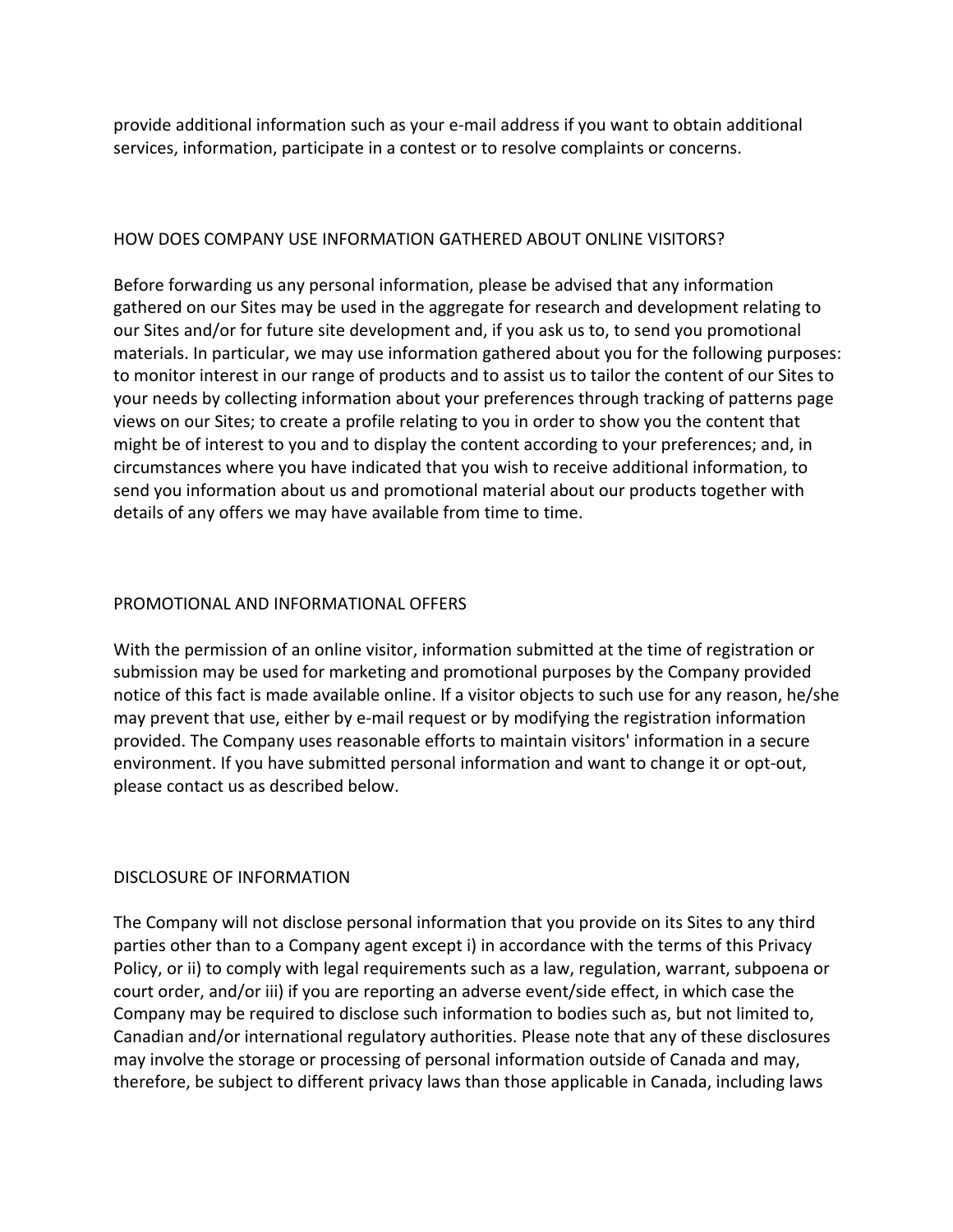provide additional information such as your e-mail address if you want to obtain additional services, information, participate in a contest or to resolve complaints or concerns.

### HOW DOES COMPANY USE INFORMATION GATHERED ABOUT ONLINE VISITORS?

Before forwarding us any personal information, please be advised that any information gathered on our Sites may be used in the aggregate for research and development relating to our Sites and/or for future site development and, if you ask us to, to send you promotional materials. In particular, we may use information gathered about you for the following purposes: to monitor interest in our range of products and to assist us to tailor the content of our Sites to your needs by collecting information about your preferences through tracking of patterns page views on our Sites; to create a profile relating to you in order to show you the content that might be of interest to you and to display the content according to your preferences; and, in circumstances where you have indicated that you wish to receive additional information, to send you information about us and promotional material about our products together with details of any offers we may have available from time to time.

### PROMOTIONAL AND INFORMATIONAL OFFERS

With the permission of an online visitor, information submitted at the time of registration or submission may be used for marketing and promotional purposes by the Company provided notice of this fact is made available online. If a visitor objects to such use for any reason, he/she may prevent that use, either by e-mail request or by modifying the registration information provided. The Company uses reasonable efforts to maintain visitors' information in a secure environment. If you have submitted personal information and want to change it or opt-out, please contact us as described below.

## DISCLOSURE OF INFORMATION

The Company will not disclose personal information that you provide on its Sites to any third parties other than to a Company agent except i) in accordance with the terms of this Privacy Policy, or ii) to comply with legal requirements such as a law, regulation, warrant, subpoena or court order, and/or iii) if you are reporting an adverse event/side effect, in which case the Company may be required to disclose such information to bodies such as, but not limited to, Canadian and/or international regulatory authorities. Please note that any of these disclosures may involve the storage or processing of personal information outside of Canada and may, therefore, be subject to different privacy laws than those applicable in Canada, including laws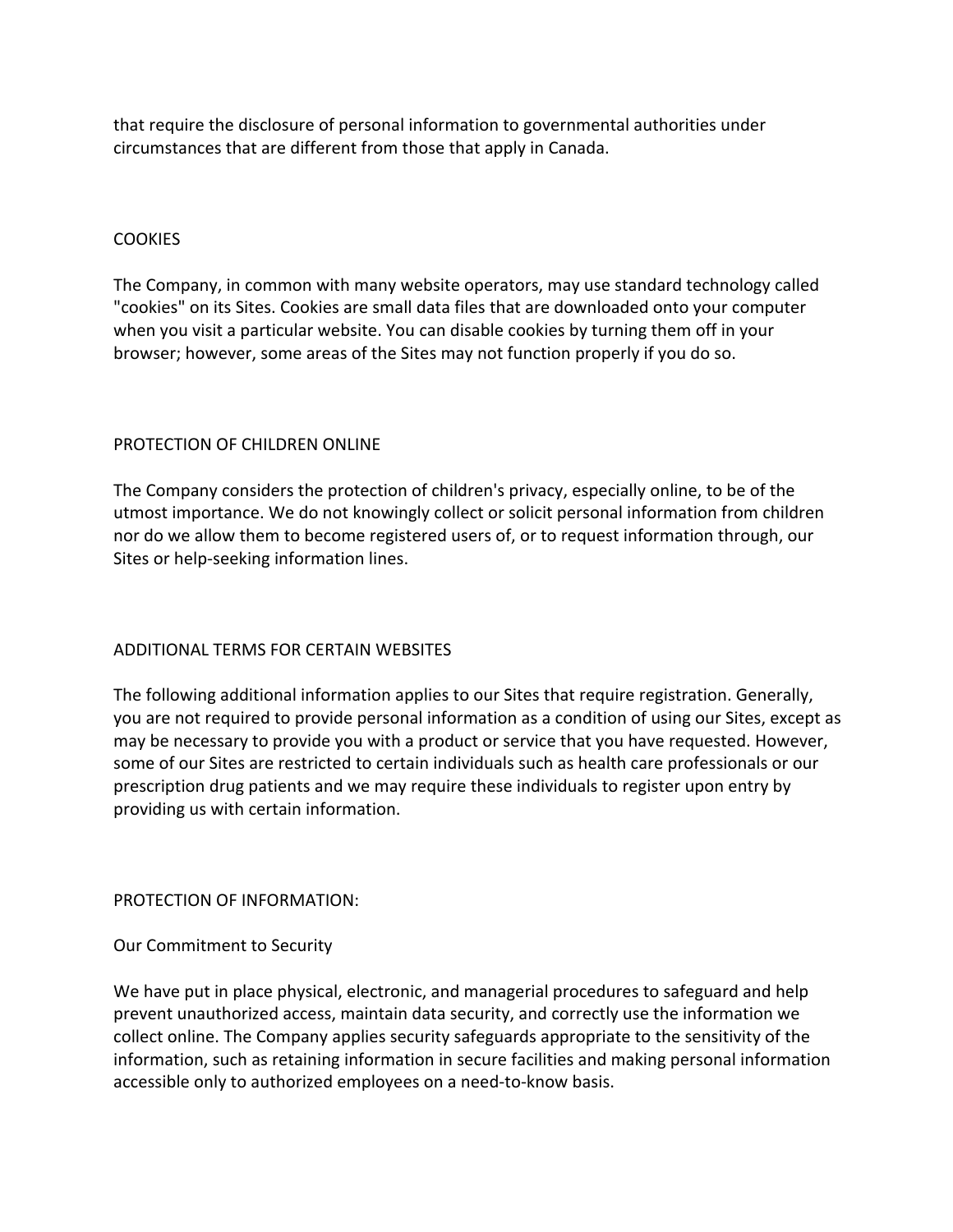that require the disclosure of personal information to governmental authorities under circumstances that are different from those that apply in Canada.

## **COOKIES**

The Company, in common with many website operators, may use standard technology called "cookies" on its Sites. Cookies are small data files that are downloaded onto your computer when you visit a particular website. You can disable cookies by turning them off in your browser; however, some areas of the Sites may not function properly if you do so.

## PROTECTION OF CHILDREN ONLINE

The Company considers the protection of children's privacy, especially online, to be of the utmost importance. We do not knowingly collect or solicit personal information from children nor do we allow them to become registered users of, or to request information through, our Sites or help-seeking information lines.

# ADDITIONAL TERMS FOR CERTAIN WEBSITES

The following additional information applies to our Sites that require registration. Generally, you are not required to provide personal information as a condition of using our Sites, except as may be necessary to provide you with a product or service that you have requested. However, some of our Sites are restricted to certain individuals such as health care professionals or our prescription drug patients and we may require these individuals to register upon entry by providing us with certain information.

## PROTECTION OF INFORMATION:

## Our Commitment to Security

We have put in place physical, electronic, and managerial procedures to safeguard and help prevent unauthorized access, maintain data security, and correctly use the information we collect online. The Company applies security safeguards appropriate to the sensitivity of the information, such as retaining information in secure facilities and making personal information accessible only to authorized employees on a need-to-know basis.